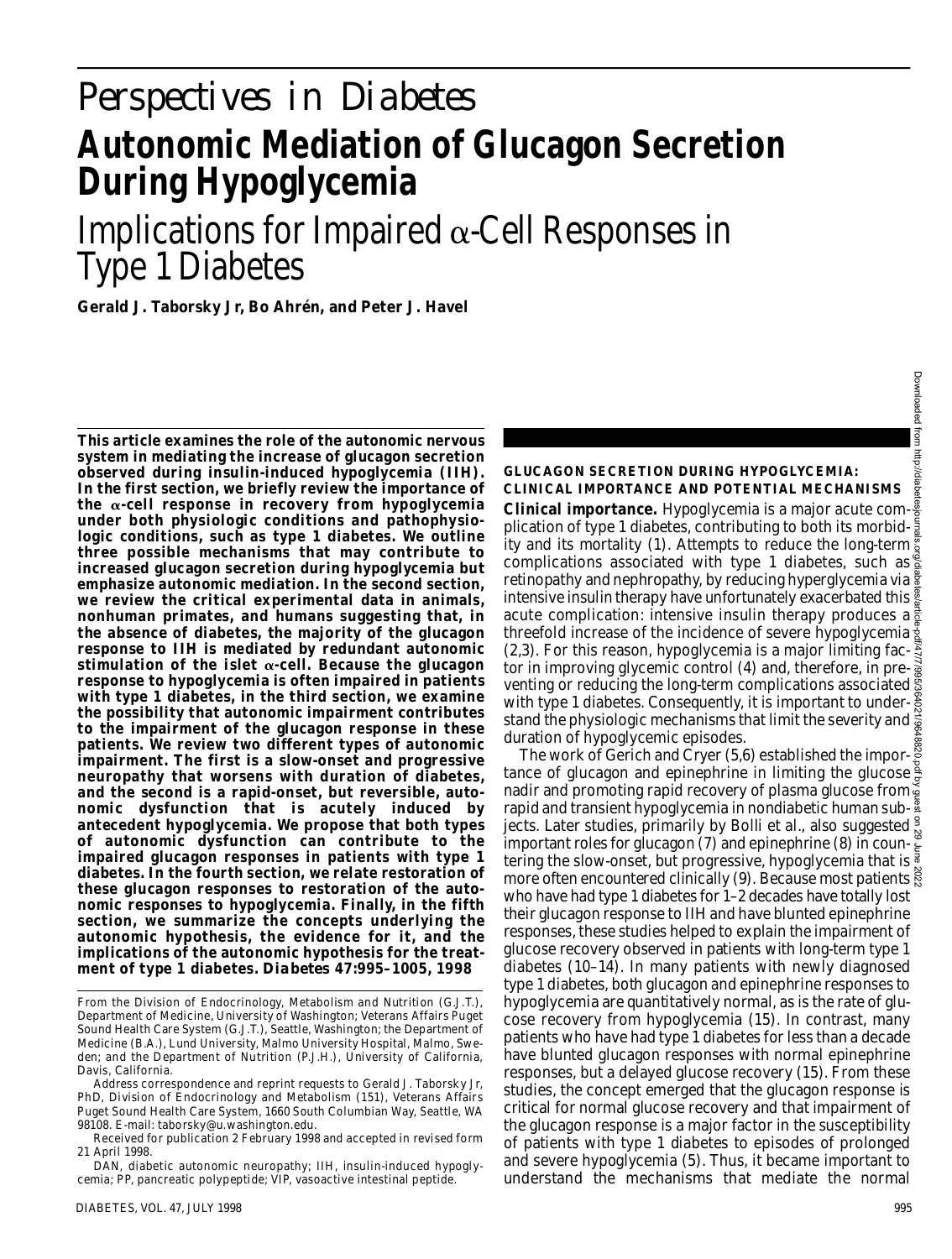# *Perspectives in Diabetes* **Autonomic Mediation of Glucagon Secretion During Hypoglycemia**

Implications for Impaired  $\alpha$ -Cell Responses in Type 1 Diabetes

**Gerald J. Taborsky Jr, Bo Ahrén, and Peter J. Havel**

**This article examines the role of the autonomic nervous system in mediating the increase of glucagon secretion observed during insulin-induced hypoglycemia (IIH). In the first section, we briefly review the importance of** the  $\alpha$ -cell response in recovery from hypoglycemia **under both physiologic conditions and pathophysiologic conditions, such as type 1 diabetes. We outline three possible mechanisms that may contribute to increased glucagon secretion during hypoglycemia but emphasize autonomic mediation. In the second section, we review the critical experimental data in animals, nonhuman primates, and humans suggesting that, in the absence of diabetes, the majority of the glucagon response to IIH is mediated by redundant autonomic** stimulation of the islet  $\alpha$ -cell. Because the glucagon **response to hypoglycemia is often impaired in patients with type 1 diabetes, in the third section, we examine the possibility that autonomic impairment contributes to the impairment of the glucagon response in these patients. We review two different types of autonomic impairment. The first is a slow-onset and progressive neuropathy that worsens with duration of diabetes, and the second is a rapid-onset, but reversible, autonomic dysfunction that is acutely induced by antecedent hypoglycemia. We propose that both types of autonomic dysfunction can contribute to the impaired glucagon responses in patients with type 1 diabetes. In the fourth section, we relate restoration of these glucagon responses to restoration of the autonomic responses to hypoglycemia. Finally, in the fifth section, we summarize the concepts underlying the autonomic hypothesis, the evidence for it, and the implications of the autonomic hypothesis for the treat**ment of type 1 diabetes. *Diabetes* 47:995-1005, 1998

Received for publication 2 February 1998 and accepted in revised form 21 April 1998.

DAN, diabetic autonomic neuropathy; IIH, insulin-induced hypoglycemia; PP, pancreatic polypeptide; VIP, vasoactive intestinal peptide.

## **GLUCAGON SECRETION DURING HYPOGLYCEMIA: CLINICAL IMPORTANCE AND POTENTIAL MECHANISMS**

**Clinical importance.** Hypoglycemia is a major acute complication of type 1 diabetes, contributing to both its morbidity and its mortality (1). Attempts to reduce the long-term complications associated with type 1 diabetes, such as retinopathy and nephropathy, by reducing hyperglycemia via  $\frac{w}{2}$ intensive insulin therapy have unfortunately exacerbated this  $\frac{8}{8}$ acute complication: intensive insulin therapy produces a  $\frac{1}{6}$ threefold increase of the incidence of severe hypoglycemia  $\frac{1}{2}$ (2,3). For this reason, hypoglycemia is a major limiting fac- $\frac{8}{3}$ tor in improving glycemic control (4) and, therefore, in preventing or reducing the long-term complications associated  $\frac{6}{2}$ with type 1 diabetes. Consequently, it is important to understand the physiologic mechanisms that limit the severity and  $\frac{1}{\mathcal{Q}}$ duration of hypoglycemic episodes.

The work of Gerich and Cryer (5,6) established the importance of glucagon and epinephrine in limiting the glucose  $\frac{3}{5}$ nadir and promoting rapid recovery of plasma glucose from rapid and transient hypoglycemia in nondiabetic human subjects. Later studies, primarily by Bolli et al., also suggested  $\frac{9}{5}$ important roles for glucagon (7) and epinephrine (8) in countering the slow-onset, but progressive, hypoglycemia that is  $\frac{3}{5}$ more often encountered clinically (9). Because most patients  $\frac{8}{8}$ who have had type 1 diabetes for 1–2 decades have totally lost their glucagon response to IIH and have blunted epinephrine responses, these studies helped to explain the impairment of glucose recovery observed in patients with long-term type 1 diabetes (10–14). In many patients with newly diagnosed type 1 diabetes, both glucagon and epinephrine responses to hypoglycemia are quantitatively normal, as is the rate of glucose recovery from hypoglycemia (15). In contrast, many patients who have had type 1 diabetes for less than a decade have blunted glucagon responses with normal epinephrine responses, but a delayed glucose recovery (15). From these studies, the concept emerged that the glucagon response is critical for normal glucose recovery and that impairment of the glucagon response is a major factor in the susceptibility of patients with type 1 diabetes to episodes of prolonged and severe hypoglycemia (5). Thus, it became important to understand the mechanisms that mediate the normal

From the Division of Endocrinology, Metabolism and Nutrition (G.J.T.), Department of Medicine, University of Washington; Veterans Affairs Puget Sound Health Care System (G.J.T.), Seattle, Washington; the Department of Medicine (B.A.), Lund University, Malmo University Hospital, Malmo, Sweden; and the Department of Nutrition (P.J.H.), University of California, Davis, California.

Address correspondence and reprint requests to Gerald J. Taborsky Jr, PhD, Division of Endocrinology and Metabolism (151), Veterans Affairs Puget Sound Health Care System, 1660 South Columbian Way, Seattle, WA 98108. E-mail: taborsky@u.washington.edu.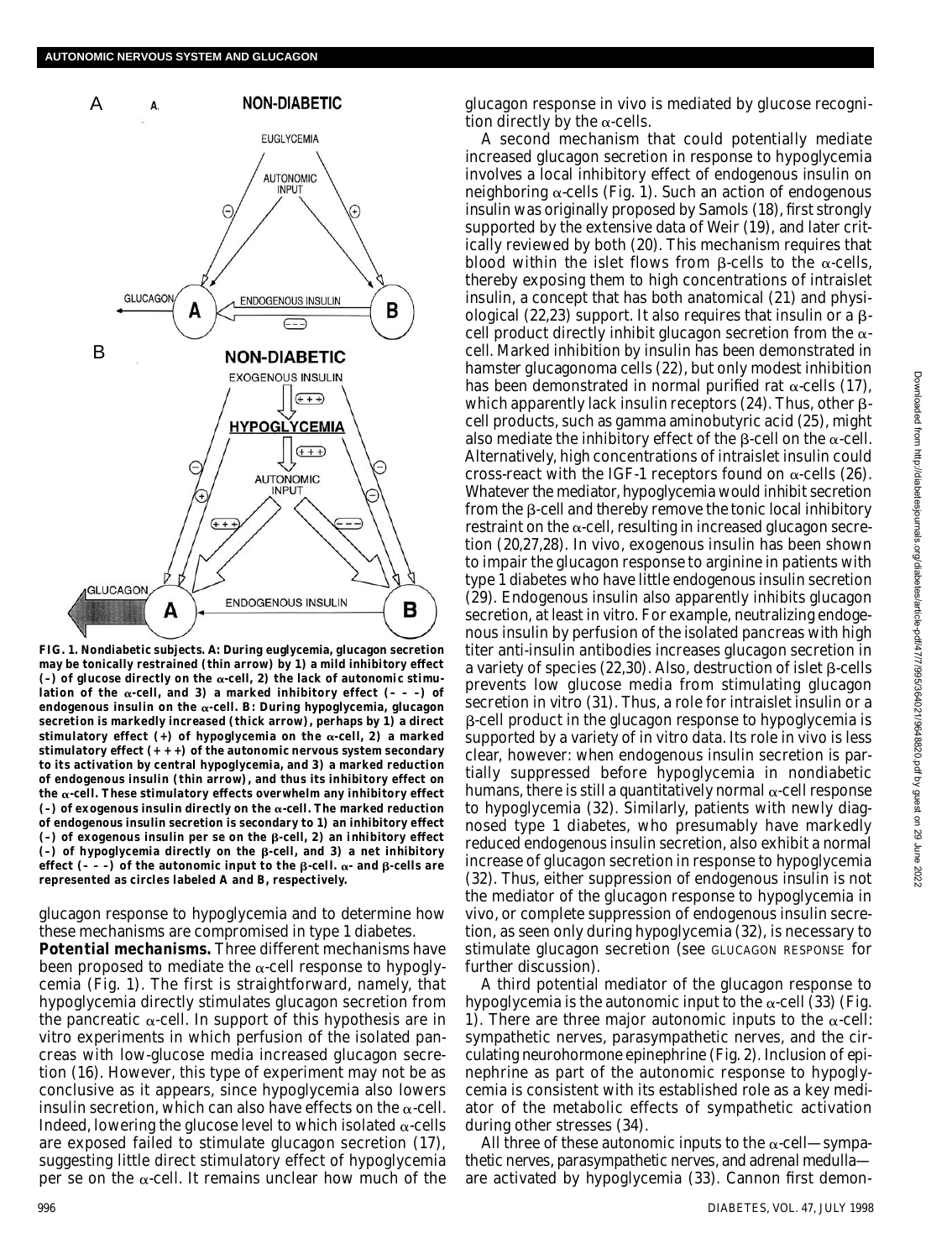

**FIG. 1. Nondiabetic subjects.** *A***: During euglycemia, glucagon secretion** may be tonically restrained (thin arrow) by *1*) a mild inhibitory effect  $(-)$  of glucose directly on the  $\alpha$ -cell,  $\mathcal{Z}$ ) the lack of autonomic stimulation of the  $\alpha$ -cell, and 3) a marked inhibitory effect  $(- - -)$  of endogenous insulin on the  $\alpha$ -cell.  $\bm{B}$ : During hypoglycemia, glucagon **secretion is markedly increased (thick arrow), perhaps by** *1***) a direct** stimulatory effect  $(+)$  of hypoglycemia on the  $\alpha$ -cell,  $2$ ) a marked **stimulatory effect (+ + +) of the autonomic nervous system secondary to its activation by central hypoglycemia, and** *3***) a marked reduction of endogenous insulin (thin arrow), and thus its inhibitory effect on** the  $\alpha$ -cell. These stimulatory effects overwhelm any inhibitory effect  $(-)$  of exogenous insulin directly on the  $\alpha$ -cell. The marked reduction **of endogenous insulin secretion is secondary to** *1***) an inhibitory effect**  $(-)$  of exogenous insulin per se on the  $\beta$ -cell,  $\hat{z}$ ) an inhibitory effect  $(-)$  of hypoglycemia directly on the  $\beta$ -cell, and  $\beta$ ) a net inhibitory effect  $(- - )$  of the autonomic input to the  $\beta$ -cell.  $\alpha$ - and  $\beta$ -cells are **represented as circles labeled A and B, respectively.**

glucagon response to hypoglycemia and to determine how these mechanisms are compromised in type 1 diabetes.

**Potential mechanisms.** Three different mechanisms have been proposed to mediate the  $\alpha$ -cell response to hypoglycemia (Fig. 1). The first is straightforward, namely, that hypoglycemia directly stimulates glucagon secretion from the pancreatic  $\alpha$ -cell. In support of this hypothesis are in vitro experiments in which perfusion of the isolated pancreas with low-glucose media increased glucagon secretion (16). However, this type of experiment may not be as conclusive as it appears, since hypoglycemia also lowers insulin secretion, which can also have effects on the  $\alpha$ -cell. Indeed, lowering the glucose level to which isolated  $\alpha$ -cells are exposed failed to stimulate glucagon secretion (17), suggesting little direct stimulatory effect of hypoglycemia per se on the  $\alpha$ -cell. It remains unclear how much of the glucagon response in vivo is mediated by glucose recognition directly by the  $\alpha$ -cells.

A second mechanism that could potentially mediate increased glucagon secretion in response to hypoglycemia involves a local inhibitory effect of endogenous insulin on neighboring  $\alpha$ -cells (Fig. 1). Such an action of endogenous insulin was originally proposed by Samols (18), first strongly supported by the extensive data of Weir (19), and later critically reviewed by both (20). This mechanism requires that blood within the islet flows from  $\beta$ -cells to the  $\alpha$ -cells, thereby exposing them to high concentrations of intraislet insulin, a concept that has both anatomical (21) and physiological (22,23) support. It also requires that insulin or a  $\beta$ cell product directly inhibit glucagon secretion from the  $\alpha$ cell. Marked inhibition by insulin has been demonstrated in hamster glucagonoma cells (22), but only modest inhibition has been demonstrated in normal purified rat  $\alpha$ -cells (17), which apparently lack insulin receptors (24). Thus, other  $\beta$ cell products, such as gamma aminobutyric acid (25), might also mediate the inhibitory effect of the  $\beta$ -cell on the  $\alpha$ -cell. Alternatively, high concentrations of intraislet insulin could cross-react with the IGF-1 receptors found on  $\alpha$ -cells (26). Whatever the mediator, hypoglycemia would inhibit secretion from the  $\beta$ -cell and thereby remove the tonic local inhibitory restraint on the  $\alpha$ -cell, resulting in increased glucagon secretion (20,27,28). In vivo, exogenous insulin has been shown to impair the glucagon response to arginine in patients with type 1 diabetes who have little endogenous insulin secretion (29). Endogenous insulin also apparently inhibits glucagon secretion, at least in vitro. For example, neutralizing endogenous insulin by perfusion of the isolated pancreas with high titer anti-insulin antibodies increases glucagon secretion in a variety of species (22,30). Also, destruction of islet  $\beta$ -cells prevents low glucose media from stimulating glucagon secretion in vitro (31). Thus, a role for intraislet insulin or a β-cell product in the glucagon response to hypoglycemia is supported by a variety of in vitro data. Its role in vivo is less clear, however: when endogenous insulin secretion is partially suppressed before hypoglycemia in nondiabetic humans, there is still a quantitatively normal  $\alpha$ -cell response to hypoglycemia (32). Similarly, patients with newly diagnosed type 1 diabetes, who presumably have markedly reduced endogenous insulin secretion, also exhibit a normal increase of glucagon secretion in response to hypoglycemia (32). Thus, either suppression of endogenous insulin is not the mediator of the glucagon response to hypoglycemia in vivo, or complete suppression of endogenous insulin secretion, as seen only during hypoglycemia (32), is necessary to stimulate glucagon secretion (see GLUCAGON RESPONSE for further discussion).

A third potential mediator of the glucagon response to hypoglycemia is the autonomic input to the  $\alpha$ -cell (33) (Fig. 1). There are three major autonomic inputs to the  $\alpha$ -cell: sympathetic nerves, parasympathetic nerves, and the circulating neurohormone epinephrine (Fig. 2). Inclusion of epinephrine as part of the autonomic response to hypoglycemia is consistent with its established role as a key mediator of the metabolic effects of sympathetic activation during other stresses (34).

All three of these autonomic inputs to the  $\alpha$ -cell-sympathetic nerves, parasympathetic nerves, and adrenal medulla are activated by hypoglycemia (33). Cannon first demon-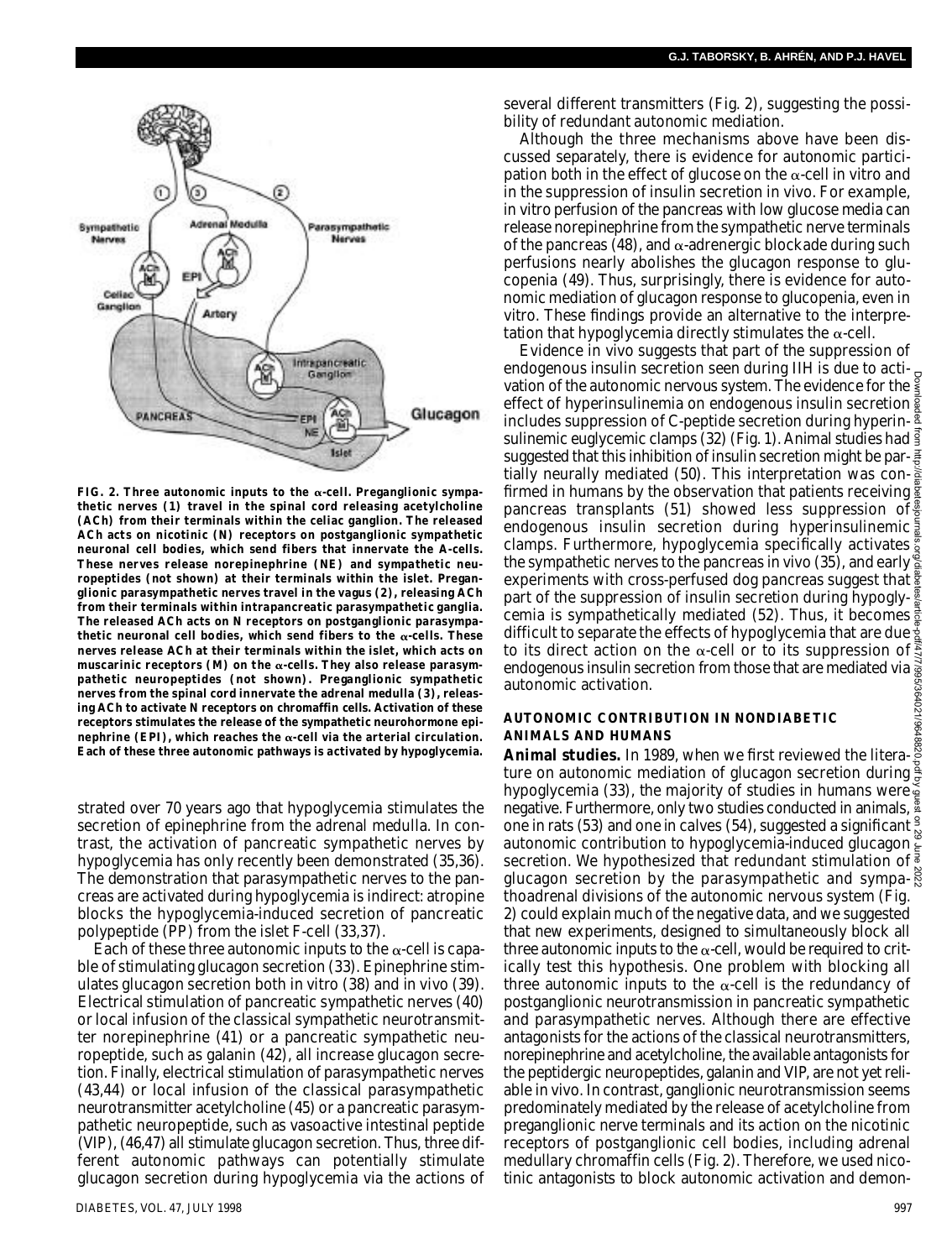

FIG. 2. Three autonomic inputs to the  $\alpha$ -cell. Preganglionic sympa**thetic nerves (1) travel in the spinal cord releasing acetylcholine (ACh) from their terminals within the celiac ganglion. The released ACh acts on nicotinic (N) receptors on postganglionic sympathetic neuronal cell bodies, which send fibers that innervate the A-cells. These nerves release norepinephrine (NE) and sympathetic neuropeptides (not shown) at their terminals within the islet. Preganglionic parasympathetic nerves travel in the vagus (2), releasing ACh from their terminals within intrapancreatic parasympathetic ganglia. The released ACh acts on N receptors on postganglionic parasympa**thetic neuronal cell bodies, which send fibers to the  $\alpha$ -cells. These **nerves release ACh at their terminals within the islet, which acts on** muscarinic receptors  $(M)$  on the  $\alpha$ -cells. They also release parasym**pathetic neuropeptides (not shown). Preganglionic sympathetic nerves from the spinal cord innervate the adrenal medulla (3), releasing ACh to activate N receptors on chromaffin cells. Activation of these receptors stimulates the release of the sympathetic neurohormone epi**nephrine (EPI), which reaches the  $\alpha$ -cell via the arterial circulation. **Each of these three autonomic pathways is activated by hypoglycemia.**

strated over 70 years ago that hypoglycemia stimulates the secretion of epinephrine from the adrenal medulla. In contrast, the activation of pancreatic sympathetic nerves by hypoglycemia has only recently been demonstrated (35,36). The demonstration that parasympathetic nerves to the pancreas are activated during hypoglycemia is indirect: atropine blocks the hypoglycemia-induced secretion of pancreatic polypeptide (PP) from the islet F-cell (33,37).

Each of these three autonomic inputs to the  $\alpha$ -cell is capable of stimulating glucagon secretion (33). Epinephrine stimulates glucagon secretion both in vitro (38) and in vivo (39). Electrical stimulation of pancreatic sympathetic nerves (40) or local infusion of the classical sympathetic neurotransmitter norepinephrine (41) or a pancreatic sympathetic neuropeptide, such as galanin (42), all increase glucagon secretion. Finally, electrical stimulation of parasympathetic nerves (43,44) or local infusion of the classical parasympathetic neurotransmitter acetylcholine (45) or a pancreatic parasympathetic neuropeptide, such as vasoactive intestinal peptide (VIP), (46,47) all stimulate glucagon secretion. Thus, three different autonomic pathways can potentially stimulate glucagon secretion during hypoglycemia via the actions of

several different transmitters (Fig. 2), suggesting the possibility of redundant autonomic mediation.

Although the three mechanisms above have been discussed separately, there is evidence for autonomic participation both in the effect of glucose on the  $\alpha$ -cell in vitro and in the suppression of insulin secretion in vivo. For example, in vitro perfusion of the pancreas with low glucose media can release norepinephrine from the sympathetic nerve terminals of the pancreas (48), and  $\alpha$ -adrenergic blockade during such perfusions nearly abolishes the glucagon response to glucopenia (49). Thus, surprisingly, there is evidence for autonomic mediation of glucagon response to glucopenia, even in vitro. These findings provide an alternative to the interpretation that hypoglycemia directly stimulates the  $\alpha$ -cell.

Evidence in vivo suggests that part of the suppression of endogenous insulin secretion seen during IIH is due to actiendogenous insulin secretion seen during lift is due to acti-<br>vation of the autonomic nervous system. The evidence for the  $\frac{2}{3}$ Downloaded from http://diabetesjournals.org/diabetes/article-pdf/47/7/995/364021/9648820.pdf by guest on 29 June 2022effect of hyperinsulinemia on endogenous insulin secretion  $\frac{8}{8}$ includes suppression of C-peptide secretion during hyperinsulinemic euglycemic clamps (32) (Fig. 1). Animal studies had  $\frac{3}{2}$ suggested that this inhibition of insulin secretion might be partially neurally mediated (50). This interpretation was confirmed in humans by the observation that patients receiving pancreas transplants (51) showed less suppression of  $\frac{2}{5}$ endogenous insulin secretion during hyperinsulinemic. clamps. Furthermore, hypoglycemia specifically activates the sympathetic nerves to the pancreas in vivo (35), and early experiments with cross-perfused dog pancreas suggest that  $\frac{8}{9}$ part of the suppression of insulin secretion during hypogly- $\frac{8}{8}$ cemia is sympathetically mediated (52). Thus, it becomes  $\frac{3}{2}$ difficult to separate the effects of hypoglycemia that are due  $\frac{1}{2}$ to its direct action on the  $\alpha$ -cell or to its suppression of endogenous insulin secretion from those that are mediated via autonomic activation. 5/364021/964

#### **AUTONOMIC CONTRIBUTION IN NONDIABETIC ANIMALS AND HUMANS**

**Animal studies.** In 1989, when we first reviewed the literature on autonomic mediation of glucagon secretion during  $\frac{3}{5}$ hypoglycemia (33), the majority of studies in humans were negative. Furthermore, only two studies conducted in animals,  $\frac{8}{3}$ one in rats (53) and one in calves (54), suggested a significant  $\frac{9}{10}$ autonomic contribution to hypoglycemia-induced glucagon  $\frac{3}{2}$ secretion. We hypothesized that redundant stimulation of glucagon secretion by the parasympathetic and sympathoadrenal divisions of the autonomic nervous system (Fig. 2) could explain much of the negative data, and we suggested that new experiments, designed to simultaneously block all three autonomic inputs to the  $\alpha$ -cell, would be required to critically test this hypothesis. One problem with blocking all three autonomic inputs to the  $\alpha$ -cell is the redundancy of postganglionic neurotransmission in pancreatic sympathetic and parasympathetic nerves. Although there are effective antagonists for the actions of the classical neurotransmitters, norepinephrine and acetylcholine, the available antagonists for the peptidergic neuropeptides, galanin and VIP, are not yet reliable in vivo. In contrast, ganglionic neurotransmission seems predominately mediated by the release of acetylcholine from preganglionic nerve terminals and its action on the nicotinic receptors of postganglionic cell bodies, including adrenal medullary chromaffin cells (Fig. 2). Therefore, we used nicotinic antagonists to block autonomic activation and demon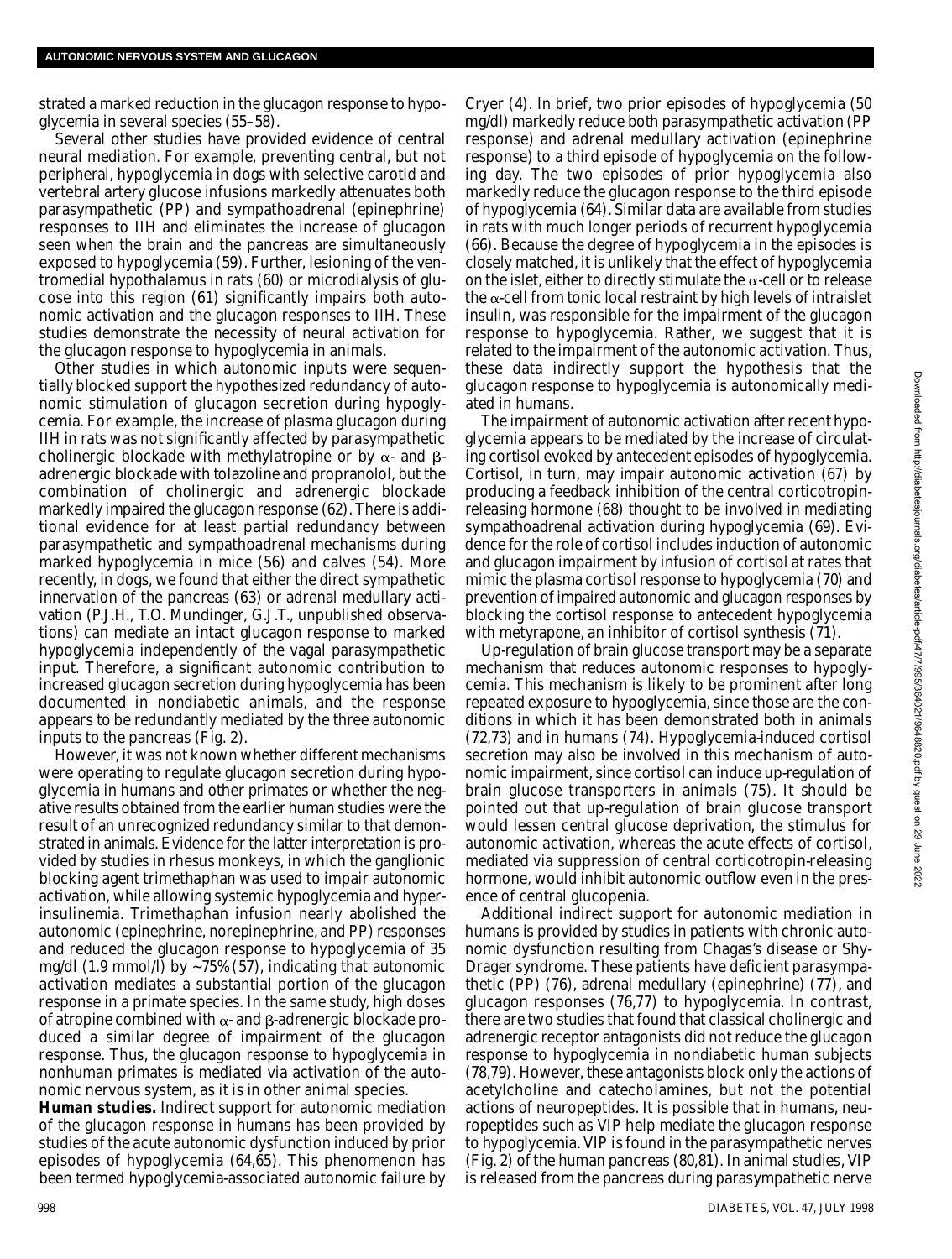strated a marked reduction in the glucagon response to hypoglycemia in several species (55–58).

Several other studies have provided evidence of central neural mediation. For example, preventing central, but not peripheral, hypoglycemia in dogs with selective carotid and vertebral artery glucose infusions markedly attenuates both parasympathetic (PP) and sympathoadrenal (epinephrine) responses to IIH and eliminates the increase of glucagon seen when the brain and the pancreas are simultaneously exposed to hypoglycemia (59). Further, lesioning of the ventromedial hypothalamus in rats (60) or microdialysis of glucose into this region (61) significantly impairs both autonomic activation and the glucagon responses to IIH. These studies demonstrate the necessity of neural activation for the glucagon response to hypoglycemia in animals.

Other studies in which autonomic inputs were sequentially blocked support the hypothesized redundancy of autonomic stimulation of glucagon secretion during hypoglycemia. For example, the increase of plasma glucagon during IIH in rats was not significantly affected by parasympathetic cholinergic blockade with methylatropine or by  $\alpha$ - and  $\beta$ adrenergic blockade with tolazoline and propranolol, but the combination of cholinergic and adrenergic blockade markedly impaired the glucagon response (62). There is additional evidence for at least partial redundancy between parasympathetic and sympathoadrenal mechanisms during marked hypoglycemia in mice (56) and calves (54). More recently, in dogs, we found that either the direct sympathetic innervation of the pancreas (63) or adrenal medullary activation (P.J.H., T.O. Mundinger, G.J.T., unpublished observations) can mediate an intact glucagon response to marked hypoglycemia independently of the vagal parasympathetic input. Therefore, a significant autonomic contribution to increased glucagon secretion during hypoglycemia has been documented in nondiabetic animals, and the response appears to be redundantly mediated by the three autonomic inputs to the pancreas (Fig. 2).

However, it was not known whether different mechanisms were operating to regulate glucagon secretion during hypoglycemia in humans and other primates or whether the negative results obtained from the earlier human studies were the result of an unrecognized redundancy similar to that demonstrated in animals. Evidence for the latter interpretation is provided by studies in rhesus monkeys, in which the ganglionic blocking agent trimethaphan was used to impair autonomic activation, while allowing systemic hypoglycemia and hyperinsulinemia. Trimethaphan infusion nearly abolished the autonomic (epinephrine, norepinephrine, and PP) responses and reduced the glucagon response to hypoglycemia of 35 mg/dl (1.9 mmol/l) by ~75% (57), indicating that autonomic activation mediates a substantial portion of the glucagon response in a primate species. In the same study, high doses of atropine combined with  $\alpha$ - and  $\beta$ -adrenergic blockade produced a similar degree of impairment of the glucagon response. Thus, the glucagon response to hypoglycemia in nonhuman primates is mediated via activation of the autonomic nervous system, as it is in other animal species.

**Human studies.** Indirect support for autonomic mediation of the glucagon response in humans has been provided by studies of the acute autonomic dysfunction induced by prior episodes of hypoglycemia (64,65). This phenomenon has been termed hypoglycemia-associated autonomic failure by

Cryer (4). In brief, two prior episodes of hypoglycemia (50 mg/dl) markedly reduce both parasympathetic activation (PP response) and adrenal medullary activation (epinephrine response) to a third episode of hypoglycemia on the following day. The two episodes of prior hypoglycemia also markedly reduce the glucagon response to the third episode of hypoglycemia (64). Similar data are available from studies in rats with much longer periods of recurrent hypoglycemia (66). Because the degree of hypoglycemia in the episodes is closely matched, it is unlikely that the effect of hypoglycemia on the islet, either to directly stimulate the  $\alpha$ -cell or to release the  $\alpha$ -cell from tonic local restraint by high levels of intraislet insulin, was responsible for the impairment of the glucagon response to hypoglycemia. Rather, we suggest that it is related to the impairment of the autonomic activation. Thus, these data indirectly support the hypothesis that the glucagon response to hypoglycemia is autonomically mediated in humans.

The impairment of autonomic activation after recent hypoglycemia appears to be mediated by the increase of circulating cortisol evoked by antecedent episodes of hypoglycemia. Cortisol, in turn, may impair autonomic activation (67) by producing a feedback inhibition of the central corticotropinreleasing hormone (68) thought to be involved in mediating sympathoadrenal activation during hypoglycemia (69). Evidence for the role of cortisol includes induction of autonomic and glucagon impairment by infusion of cortisol at rates that mimic the plasma cortisol response to hypoglycemia (70) and prevention of impaired autonomic and glucagon responses by blocking the cortisol response to antecedent hypoglycemia with metyrapone, an inhibitor of cortisol synthesis (71).

Up-regulation of brain glucose transport may be a separate mechanism that reduces autonomic responses to hypoglycemia. This mechanism is likely to be prominent after long repeated exposure to hypoglycemia, since those are the conditions in which it has been demonstrated both in animals (72,73) and in humans (74). Hypoglycemia-induced cortisol secretion may also be involved in this mechanism of autonomic impairment, since cortisol can induce up-regulation of brain glucose transporters in animals (75). It should be pointed out that up-regulation of brain glucose transport would lessen central glucose deprivation, the stimulus for autonomic activation, whereas the acute effects of cortisol, mediated via suppression of central corticotropin-releasing hormone, would inhibit autonomic outflow even in the presence of central glucopenia.

Additional indirect support for autonomic mediation in humans is provided by studies in patients with chronic autonomic dysfunction resulting from Chagas's disease or Shy-Drager syndrome. These patients have deficient parasympathetic (PP) (76), adrenal medullary (epinephrine) (77), and glucagon responses (76,77) to hypoglycemia. In contrast, there are two studies that found that classical cholinergic and adrenergic receptor antagonists did not reduce the glucagon response to hypoglycemia in nondiabetic human subjects (78,79). However, these antagonists block only the actions of acetylcholine and catecholamines, but not the potential actions of neuropeptides. It is possible that in humans, neuropeptides such as VIP help mediate the glucagon response to hypoglycemia. VIP is found in the parasympathetic nerves (Fig. 2) of the human pancreas (80,81). In animal studies, VIP is released from the pancreas during parasympathetic nerve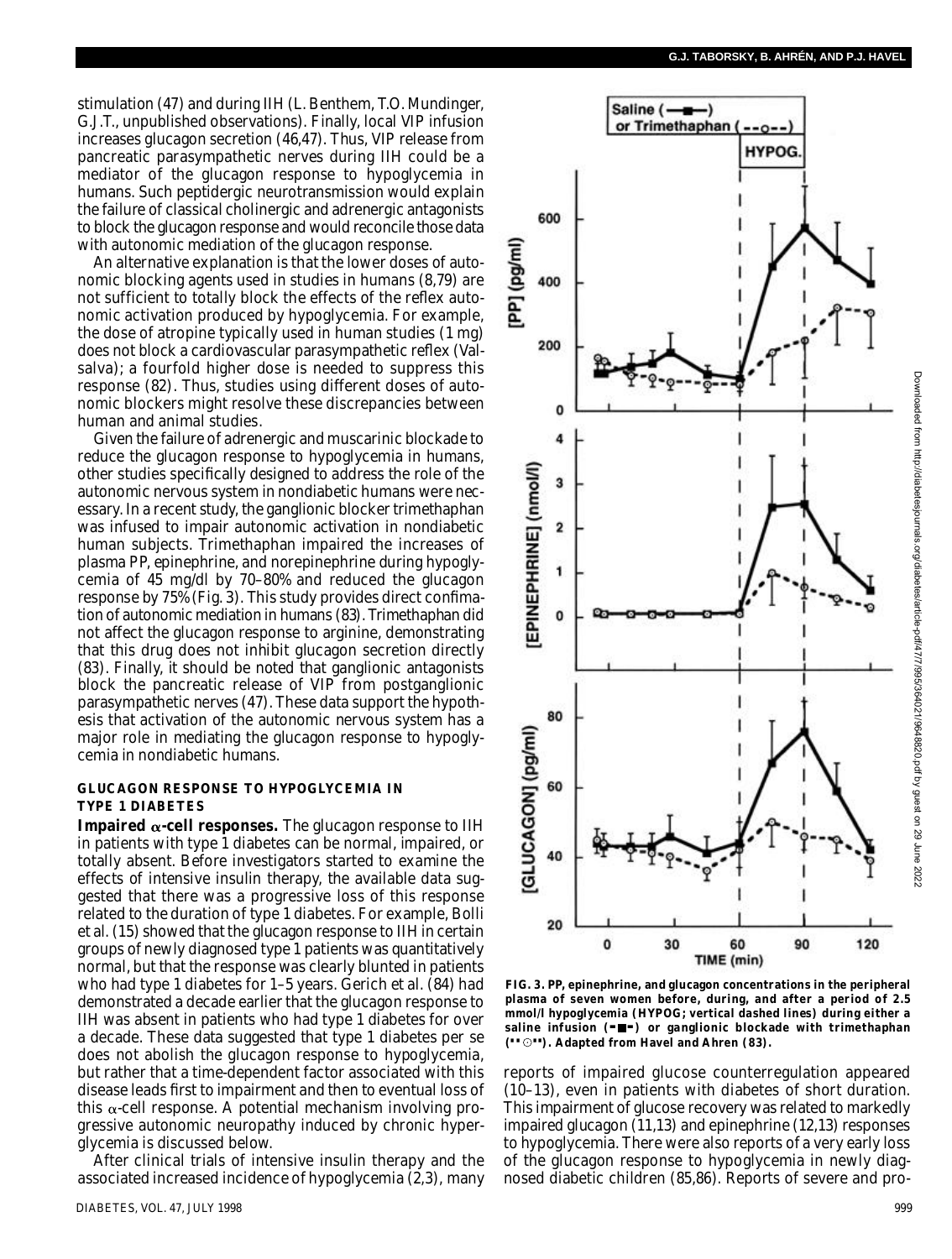stimulation (47) and during IIH (L. Benthem, T.O. Mundinger, G.J.T., unpublished observations). Finally, local VIP infusion increases glucagon secretion (46,47). Thus, VIP release from pancreatic parasympathetic nerves during IIH could be a mediator of the glucagon response to hypoglycemia in humans. Such peptidergic neurotransmission would explain the failure of classical cholinergic and adrenergic antagonists to block the glucagon response and would reconcile those data with autonomic mediation of the glucagon response.

An alternative explanation is that the lower doses of autonomic blocking agents used in studies in humans (8,79) are not sufficient to totally block the effects of the reflex autonomic activation produced by hypoglycemia. For example, the dose of atropine typically used in human studies (1 mg) does not block a cardiovascular parasympathetic reflex (Valsalva); a fourfold higher dose is needed to suppress this response (82). Thus, studies using different doses of autonomic blockers might resolve these discrepancies between human and animal studies.

Given the failure of adrenergic and muscarinic blockade to reduce the glucagon response to hypoglycemia in humans, other studies specifically designed to address the role of the autonomic nervous system in nondiabetic humans were necessary. In a recent study, the ganglionic blocker trimethaphan was infused to impair autonomic activation in nondiabetic human subjects. Trimethaphan impaired the increases of plasma PP, epinephrine, and norepinephrine during hypoglycemia of 45 mg/dl by 70–80% and reduced the glucagon response by 75% (Fig. 3). This study provides direct confimation of autonomic mediation in humans (83). Trimethaphan did not affect the glucagon response to arginine, demonstrating that this drug does not inhibit glucagon secretion directly (83). Finally, it should be noted that ganglionic antagonists block the pancreatic release of VIP from postganglionic parasympathetic nerves (47). These data support the hypothesis that activation of the autonomic nervous system has a major role in mediating the glucagon response to hypoglycemia in nondiabetic humans.

## **GLUCAGON RESPONSE TO HYPOGLYCEMIA IN TYPE 1 DIABETES**

**Impaired**  $\alpha$ **-cell responses.** The glucagon response to IIH in patients with type 1 diabetes can be normal, impaired, or totally absent. Before investigators started to examine the effects of intensive insulin therapy, the available data suggested that there was a progressive loss of this response related to the duration of type 1 diabetes. For example, Bolli et al. (15) showed that the glucagon response to IIH in certain groups of newly diagnosed type 1 patients was quantitatively normal, but that the response was clearly blunted in patients who had type 1 diabetes for 1–5 years. Gerich et al. (84) had demonstrated a decade earlier that the glucagon response to IIH was absent in patients who had type 1 diabetes for over a decade. These data suggested that type 1 diabetes per se does not abolish the glucagon response to hypoglycemia, but rather that a time-dependent factor associated with this disease leads first to impairment and then to eventual loss of this  $\alpha$ -cell response. A potential mechanism involving progressive autonomic neuropathy induced by chronic hyperglycemia is discussed below.

After clinical trials of intensive insulin therapy and the associated increased incidence of hypoglycemia (2,3), many



**FIG. 3. PP, epinephrine, and glucagon concentrations in the peripheral plasma of seven women before, during, and after a period of 2.5 mmol/l hypoglycemia (HYPOG; vertical dashed lines) during either a saline infusion (— —) or ganglionic blockade with trimethaphan (– – ––). Adapted from Havel and Ahren (83).**

reports of impaired glucose counterregulation appeared (10–13), even in patients with diabetes of short duration. This impairment of glucose recovery was related to markedly impaired glucagon (11,13) and epinephrine (12,13) responses to hypoglycemia. There were also reports of a very early loss of the glucagon response to hypoglycemia in newly diagnosed diabetic children (85,86). Reports of severe and pro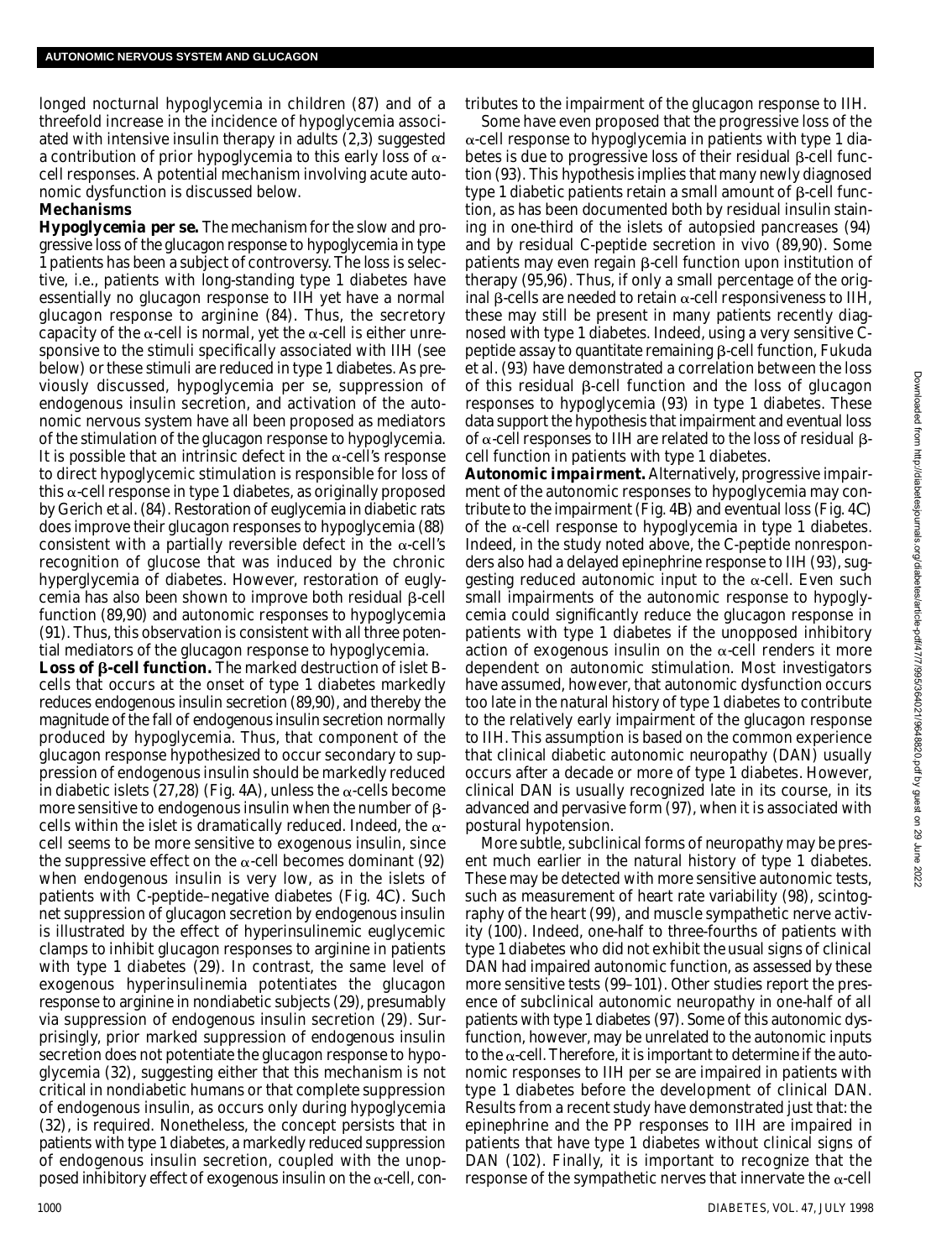longed nocturnal hypoglycemia in children (87) and of a threefold increase in the incidence of hypoglycemia associated with intensive insulin therapy in adults (2,3) suggested a contribution of prior hypoglycemia to this early loss of  $\alpha$ cell responses. A potential mechanism involving acute autonomic dysfunction is discussed below.

#### **Mechanisms**

*Hypoglycemia per se.* The mechanism for the slow and progressive loss of the glucagon response to hypoglycemia in type 1 patients has been a subject of controversy. The loss is selective, i.e., patients with long-standing type 1 diabetes have essentially no glucagon response to IIH yet have a normal glucagon response to arginine (84). Thus, the secretory capacity of the  $\alpha$ -cell is normal, yet the  $\alpha$ -cell is either unresponsive to the stimuli specifically associated with IIH (see below) or these stimuli are reduced in type 1 diabetes. As previously discussed, hypoglycemia per se, suppression of endogenous insulin secretion, and activation of the autonomic nervous system have all been proposed as mediators of the stimulation of the glucagon response to hypoglycemia. It is possible that an intrinsic defect in the  $\alpha$ -cell's response to direct hypoglycemic stimulation is responsible for loss of this  $\alpha$ -cell response in type 1 diabetes, as originally proposed by Gerich et al. (84). Restoration of euglycemia in diabetic rats does improve their glucagon responses to hypoglycemia (88) consistent with a partially reversible defect in the  $\alpha$ -cell's recognition of glucose that was induced by the chronic hyperglycemia of diabetes. However, restoration of euglycemia has also been shown to improve both residual  $\beta$ -cell function (89,90) and autonomic responses to hypoglycemia (91). Thus, this observation is consistent with all three potential mediators of the glucagon response to hypoglycemia.

Loss of β-cell function. The marked destruction of islet Bcells that occurs at the onset of type 1 diabetes markedly reduces endogenous insulin secretion (89,90), and thereby the magnitude of the fall of endogenous insulin secretion normally produced by hypoglycemia. Thus, that component of the glucagon response hypothesized to occur secondary to suppression of endogenous insulin should be markedly reduced in diabetic islets (27,28) (Fig. 4A), unless the  $\alpha$ -cells become more sensitive to endogenous insulin when the number of  $\beta$ cells within the islet is dramatically reduced. Indeed, the  $\alpha$ cell seems to be more sensitive to exogenous insulin, since the suppressive effect on the  $\alpha$ -cell becomes dominant (92) when endogenous insulin is very low, as in the islets of patients with C-peptide–negative diabetes (Fig. 4*C )*. Such net suppression of glucagon secretion by endogenous insulin is illustrated by the effect of hyperinsulinemic euglycemic clamps to inhibit glucagon responses to arginine in patients with type 1 diabetes (29). In contrast, the same level of exogenous hyperinsulinemia potentiates the glucagon response to arginine in nondiabetic subjects (29), presumably via suppression of endogenous insulin secretion (29). Surprisingly, prior marked suppression of endogenous insulin secretion does not potentiate the glucagon response to hypoglycemia (32), suggesting either that this mechanism is not critical in nondiabetic humans or that complete suppression of endogenous insulin, as occurs only during hypoglycemia (32), is required. Nonetheless, the concept persists that in patients with type 1 diabetes, a markedly reduced suppression of endogenous insulin secretion, coupled with the unopposed inhibitory effect of exogenous insulin on the  $\alpha$ -cell, contributes to the impairment of the glucagon response to IIH.

Some have even proposed that the progressive loss of the  $\alpha$ -cell response to hypoglycemia in patients with type 1 diabetes is due to progressive loss of their residual  $\beta$ -cell function (93). This hypothesis implies that many newly diagnosed type 1 diabetic patients retain a small amount of  $\beta$ -cell function, as has been documented both by residual insulin staining in one-third of the islets of autopsied pancreases (94) and by residual C-peptide secretion in vivo (89,90). Some patients may even regain  $\beta$ -cell function upon institution of therapy (95,96). Thus, if only a small percentage of the original  $\beta$ -cells are needed to retain  $\alpha$ -cell responsiveness to IIH, these may still be present in many patients recently diagnosed with type 1 diabetes. Indeed, using a very sensitive Cpeptide assay to quantitate remaining  $\beta$ -cell function, Fukuda et al. (93) have demonstrated a correlation between the loss of this residual  $\beta$ -cell function and the loss of glucagon responses to hypoglycemia (93) in type 1 diabetes. These data support the hypothesis that impairment and eventual loss of  $\alpha$ -cell responses to IIH are related to the loss of residual  $\beta$ cell function in patients with type 1 diabetes.

*Autonomic impairment.* Alternatively, progressive impairment of the autonomic responses to hypoglycemia may contribute to the impairment (Fig. 4*B*) and eventual loss (Fig. 4*C*) of the  $\alpha$ -cell response to hypoglycemia in type 1 diabetes. Indeed, in the study noted above, the C-peptide nonresponders also had a delayed epinephrine response to IIH (93), suggesting reduced autonomic input to the  $\alpha$ -cell. Even such small impairments of the autonomic response to hypoglycemia could significantly reduce the glucagon response in patients with type 1 diabetes if the unopposed inhibitory action of exogenous insulin on the  $\alpha$ -cell renders it more dependent on autonomic stimulation. Most investigators have assumed, however, that autonomic dysfunction occurs too late in the natural history of type 1 diabetes to contribute to the relatively early impairment of the glucagon response to IIH. This assumption is based on the common experience that clinical diabetic autonomic neuropathy (DAN) usually occurs after a decade or more of type 1 diabetes. However, clinical DAN is usually recognized late in its course, in its advanced and pervasive form (97), when it is associated with postural hypotension.

More subtle, subclinical forms of neuropathy may be present much earlier in the natural history of type 1 diabetes. These may be detected with more sensitive autonomic tests, such as measurement of heart rate variability (98), scintography of the heart (99), and muscle sympathetic nerve activity (100). Indeed, one-half to three-fourths of patients with type 1 diabetes who did not exhibit the usual signs of clinical DAN had impaired autonomic function, as assessed by these more sensitive tests (99–101). Other studies report the presence of subclinical autonomic neuropathy in one-half of all patients with type 1 diabetes (97). Some of this autonomic dysfunction, however, may be unrelated to the autonomic inputs to the  $\alpha$ -cell. Therefore, it is important to determine if the autonomic responses to IIH per se are impaired in patients with type 1 diabetes before the development of clinical DAN. Results from a recent study have demonstrated just that: the epinephrine and the PP responses to IIH are impaired in patients that have type 1 diabetes without clinical signs of DAN (102). Finally, it is important to recognize that the response of the sympathetic nerves that innervate the  $\alpha$ -cell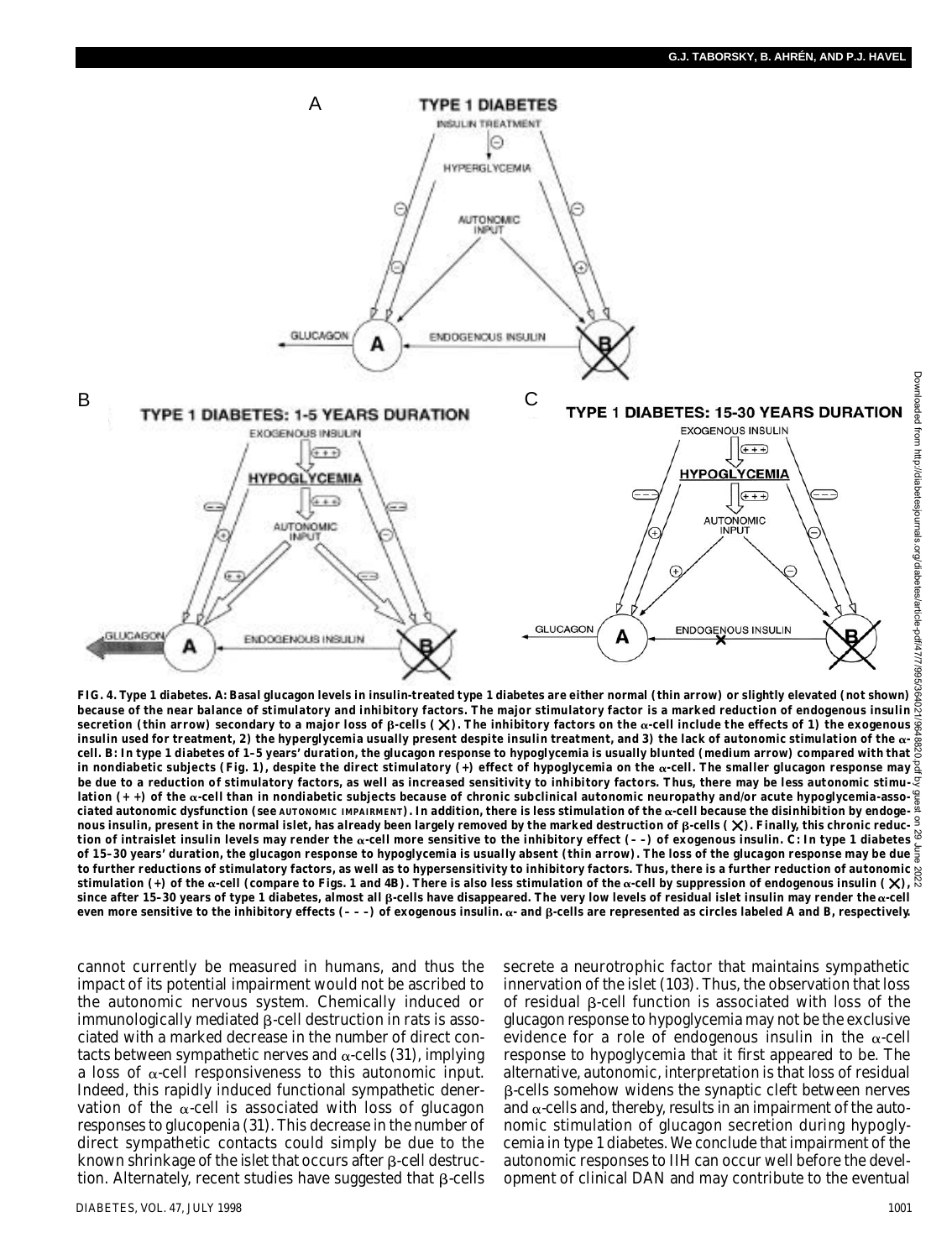

**FIG. 4. Type 1 diabetes.** *A***: Basal glucagon levels in insulin-treated type 1 diabetes are either normal (thin arrow) or slightly elevated (not shown)** because of the near balance of stimulatory and inhibitory factors. The major stimulatory factor is a marked reduction of endogenous insulin<br>secretion (thin arrow) secondary to a major loss of β-cells (χ). The inhibitory f insulin used for treatment, 2) the hyperglycemia usually present despite insulin treatment, and 3) the lack of autonomic stimulation of the  $\alpha$ - $\frac{3}{8}$ <br>cell. *B*: In type 1 diabetes of 1–5 years' duration, the glucagon in nondiabetic subjects (Fig. 1), despite the direct stimulatory (+) effect of hypoglycemia on the  $\alpha$ -cell. The smaller glucagon response may  $\frac{\alpha}{2}$ **be due to a reduction of stimulatory factors, as well as increased sensitivity to inhibitory factors. Thus, there may be less autonomic stimu**lation (+ +) of the **&-cell than in nondiabetic subjects becau**se of chronic subclinical autonomic neuropathy and/or acute hypoglycemia-associated autonomic dysfunction (see ѧυτοΝοмιс เмฅѧเฅмɛмт). In addition, there is less stimulation of the α-cell because the disinhibition by endoge-<br>nous insulin, present in the normal islet, has already been largely remov tion of intraislet insulin levels may render the α-cell more sensitive to the inhibitory effect (--) of exogenous insulin. *C*: In type 1 diabetes **of 15–30 years' duration, the glucagon response to hypoglycemia is usually absent (thin arrow). The loss of the glucagon response may be due to further reductions of stimulatory factors, as well as to hypersensitivity to inhibitory factors. Thus, there is a further reduction of autonomic** stimulation (+) of the  $\alpha$ -cell (compare to Figs. 1 and 4*B*). There is also less stimulation of the  $\alpha$ -cell by suppression of endogenous insulin  $(\chi)$ ,  $\stackrel{\otimes}{\sim}$  $s$  ince after 15–30 years of type 1 diabetes, almost all  $\beta$ -cells have disappeared. The very low levels of residual islet insulin may render the  $\alpha$ -cell even more sensitive to the inhibitory effects (- - -) of exogenous insulin. α- and β-cells are represented as circles labeled A and B, respectively.

cannot currently be measured in humans, and thus the impact of its potential impairment would not be ascribed to the autonomic nervous system. Chemically induced or  $immunologically$  mediated  $\beta$ -cell destruction in rats is associated with a marked decrease in the number of direct contacts between sympathetic nerves and  $\alpha$ -cells (31), implying a loss of  $\alpha$ -cell responsiveness to this autonomic input. Indeed, this rapidly induced functional sympathetic denervation of the  $\alpha$ -cell is associated with loss of glucagon responses to glucopenia (31). This decrease in the number of direct sympathetic contacts could simply be due to the known shrinkage of the islet that occurs after  $\beta$ -cell destruction. Alternately, recent studies have suggested that  $\beta$ -cells

DIABETES, VOL. 47, JULY 1998 1001

secrete a neurotrophic factor that maintains sympathetic innervation of the islet (103). Thus, the observation that loss of residual  $\beta$ -cell function is associated with loss of the glucagon response to hypoglycemia may not be the exclusive evidence for a role of endogenous insulin in the  $\alpha$ -cell response to hypoglycemia that it first appeared to be. The alternative, autonomic, interpretation is that loss of residual -cells somehow widens the synaptic cleft between nerves and  $\alpha$ -cells and, thereby, results in an impairment of the autonomic stimulation of glucagon secretion during hypoglycemia in type 1 diabetes. We conclude that impairment of the autonomic responses to IIH can occur well before the development of clinical DAN and may contribute to the eventual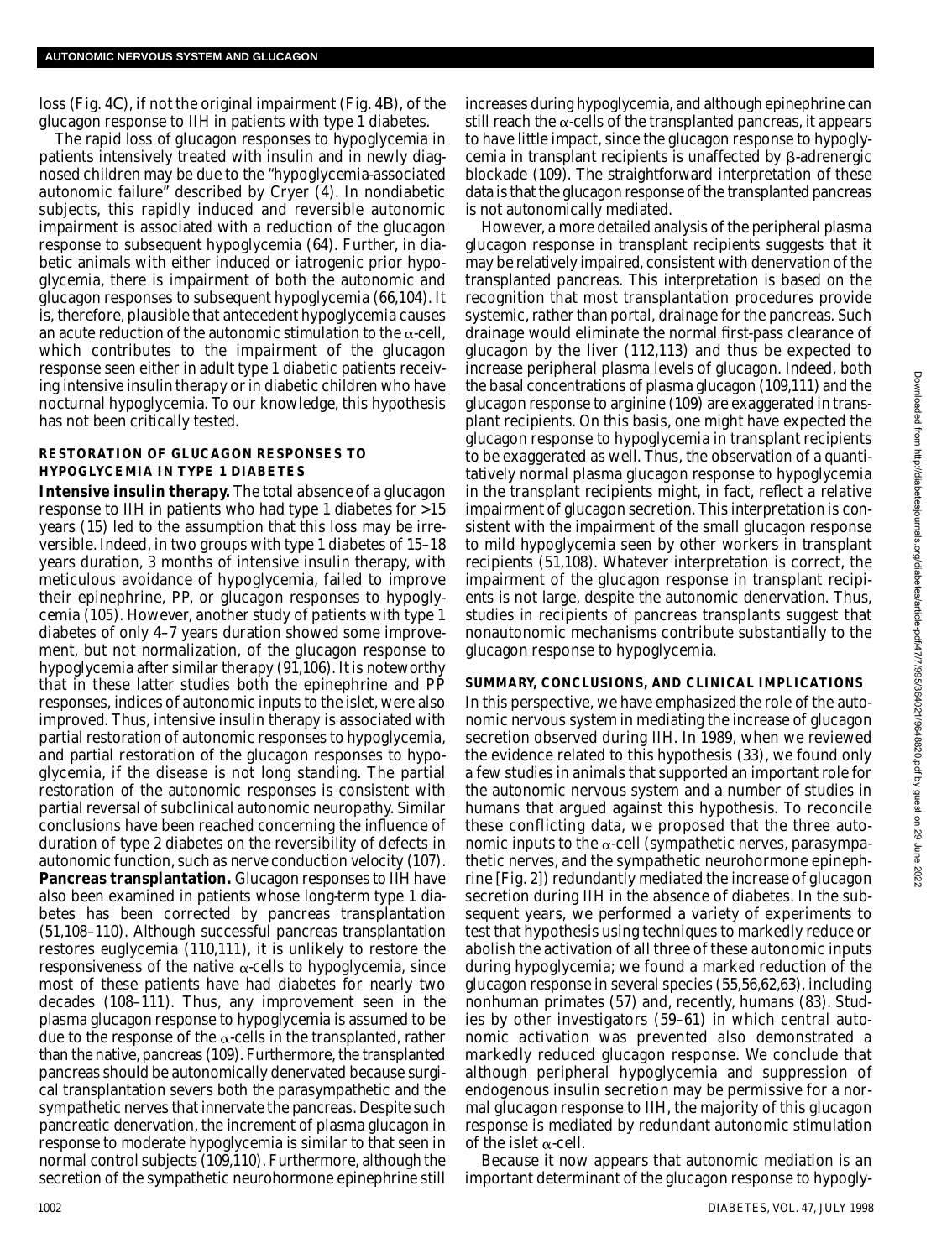loss (Fig. 4*C*), if not the original impairment (Fig. 4*B*), of the glucagon response to IIH in patients with type 1 diabetes.

The rapid loss of glucagon responses to hypoglycemia in patients intensively treated with insulin and in newly diagnosed children may be due to the "hypoglycemia-associated autonomic failure" described by Cryer (4). In nondiabetic subjects, this rapidly induced and reversible autonomic impairment is associated with a reduction of the glucagon response to subsequent hypoglycemia (64). Further, in diabetic animals with either induced or iatrogenic prior hypoglycemia, there is impairment of both the autonomic and glucagon responses to subsequent hypoglycemia (66,104). It is, therefore, plausible that antecedent hypoglycemia causes an acute reduction of the autonomic stimulation to the  $\alpha$ -cell, which contributes to the impairment of the glucagon response seen either in adult type 1 diabetic patients receiving intensive insulin therapy or in diabetic children who have nocturnal hypoglycemia. To our knowledge, this hypothesis has not been critically tested.

#### **RESTORATION OF GLUCAGON RESPONSES TO HYPOGLYCEMIA IN TYPE 1 DIABETES**

**Intensive insulin therapy.** The total absence of a glucagon response to IIH in patients who had type 1 diabetes for >15 years (15) led to the assumption that this loss may be irreversible. Indeed, in two groups with type 1 diabetes of 15–18 years duration, 3 months of intensive insulin therapy, with meticulous avoidance of hypoglycemia, failed to improve their epinephrine, PP, or glucagon responses to hypoglycemia (105). However, another study of patients with type 1 diabetes of only 4–7 years duration showed some improvement, but not normalization, of the glucagon response to hypoglycemia after similar therapy (91,106). It is noteworthy that in these latter studies both the epinephrine and PP responses, indices of autonomic inputs to the islet, were also improved. Thus, intensive insulin therapy is associated with partial restoration of autonomic responses to hypoglycemia, and partial restoration of the glucagon responses to hypoglycemia, if the disease is not long standing. The partial restoration of the autonomic responses is consistent with partial reversal of subclinical autonomic neuropathy. Similar conclusions have been reached concerning the influence of duration of type 2 diabetes on the reversibility of defects in autonomic function, such as nerve conduction velocity (107). **Pancreas transplantation.** Glucagon responses to IIH have also been examined in patients whose long-term type 1 diabetes has been corrected by pancreas transplantation (51,108–110). Although successful pancreas transplantation restores euglycemia (110,111), it is unlikely to restore the responsiveness of the native  $\alpha$ -cells to hypoglycemia, since most of these patients have had diabetes for nearly two decades (108–111). Thus, any improvement seen in the plasma glucagon response to hypoglycemia is assumed to be due to the response of the  $\alpha$ -cells in the transplanted, rather than the native, pancreas (109). Furthermore, the transplanted pancreas should be autonomically denervated because surgical transplantation severs both the parasympathetic and the sympathetic nerves that innervate the pancreas. Despite such pancreatic denervation, the increment of plasma glucagon in response to moderate hypoglycemia is similar to that seen in normal control subjects (109,110). Furthermore, although the secretion of the sympathetic neurohormone epinephrine still

increases during hypoglycemia, and although epinephrine can still reach the  $\alpha$ -cells of the transplanted pancreas, it appears to have little impact, since the glucagon response to hypoglycemia in transplant recipients is unaffected by  $\beta$ -adrenergic blockade (109). The straightforward interpretation of these data is that the glucagon response of the transplanted pancreas is not autonomically mediated.

However, a more detailed analysis of the peripheral plasma glucagon response in transplant recipients suggests that it may be relatively impaired, consistent with denervation of the transplanted pancreas. This interpretation is based on the recognition that most transplantation procedures provide systemic, rather than portal, drainage for the pancreas. Such drainage would eliminate the normal first-pass clearance of glucagon by the liver (112,113) and thus be expected to increase peripheral plasma levels of glucagon. Indeed, both the basal concentrations of plasma glucagon (109,111) and the glucagon response to arginine (109) are exaggerated in transplant recipients. On this basis, one might have expected the glucagon response to hypoglycemia in transplant recipients to be exaggerated as well. Thus, the observation of a quantitatively normal plasma glucagon response to hypoglycemia in the transplant recipients might, in fact, reflect a relative impairment of glucagon secretion. This interpretation is consistent with the impairment of the small glucagon response to mild hypoglycemia seen by other workers in transplant recipients (51,108). Whatever interpretation is correct, the impairment of the glucagon response in transplant recipients is not large, despite the autonomic denervation. Thus, studies in recipients of pancreas transplants suggest that nonautonomic mechanisms contribute substantially to the glucagon response to hypoglycemia.

### **SUMMARY, CONCLUSIONS, AND CLINICAL IMPLICATIONS**

In this perspective, we have emphasized the role of the autonomic nervous system in mediating the increase of glucagon secretion observed during IIH. In 1989, when we reviewed the evidence related to this hypothesis (33), we found only a few studies in animals that supported an important role for the autonomic nervous system and a number of studies in humans that argued against this hypothesis. To reconcile these conflicting data, we proposed that the three autonomic inputs to the  $\alpha$ -cell (sympathetic nerves, parasympathetic nerves, and the sympathetic neurohormone epinephrine [Fig. 2]) redundantly mediated the increase of glucagon secretion during IIH in the absence of diabetes. In the subsequent years, we performed a variety of experiments to test that hypothesis using techniques to markedly reduce or abolish the activation of all three of these autonomic inputs during hypoglycemia; we found a marked reduction of the glucagon response in several species (55,56,62,63), including nonhuman primates (57) and, recently, humans (83). Studies by other investigators (59–61) in which central autonomic activation was prevented also demonstrated a markedly reduced glucagon response. We conclude that although peripheral hypoglycemia and suppression of endogenous insulin secretion may be permissive for a normal glucagon response to IIH, the majority of this glucagon response is mediated by redundant autonomic stimulation of the islet  $\alpha$ -cell.

Because it now appears that autonomic mediation is an important determinant of the glucagon response to hypogly-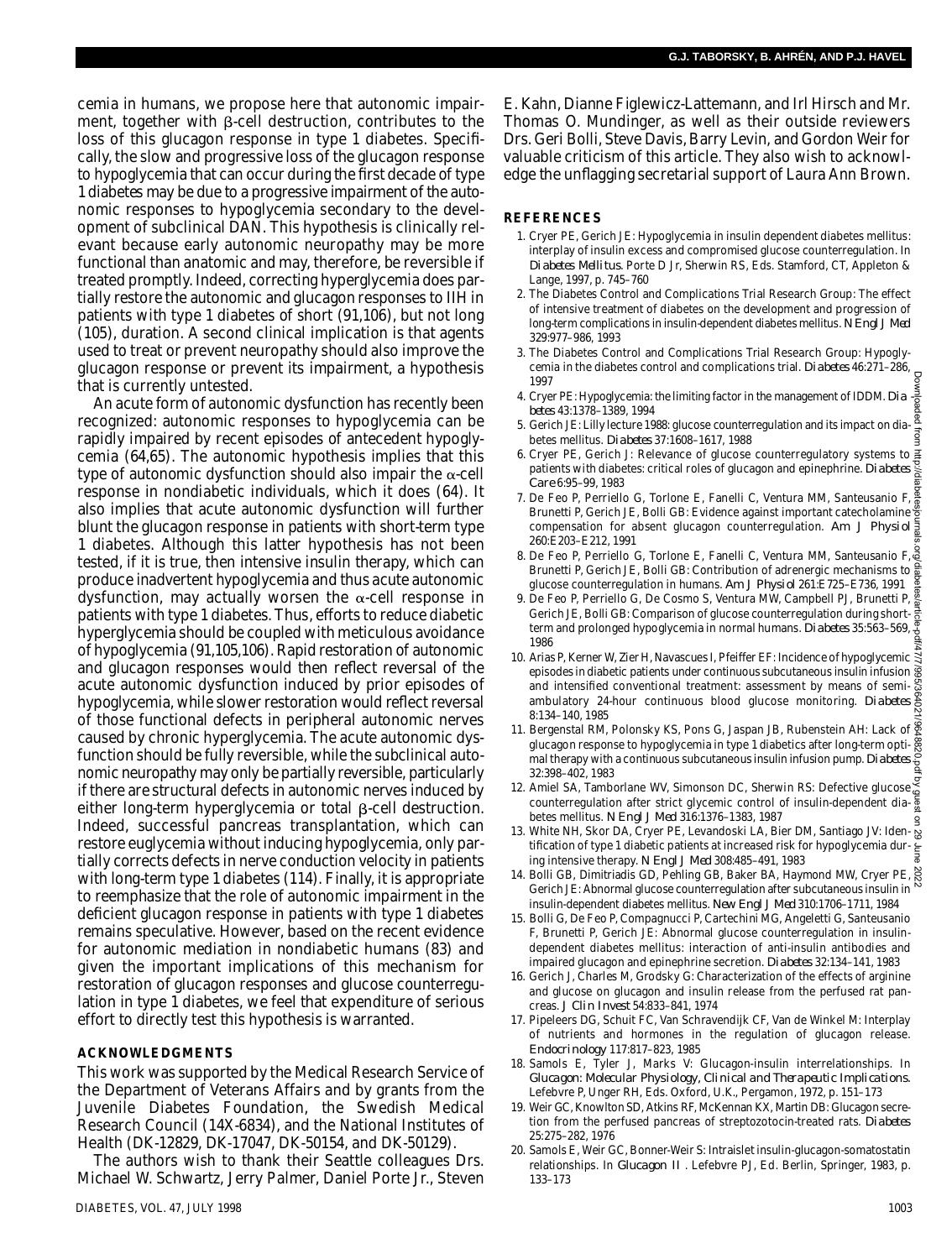cemia in humans, we propose here that autonomic impairment, together with  $\beta$ -cell destruction, contributes to the loss of this glucagon response in type 1 diabetes. Specifically, the slow and progressive loss of the glucagon response to hypoglycemia that can occur during the first decade of type 1 diabetes may be due to a progressive impairment of the autonomic responses to hypoglycemia secondary to the development of subclinical DAN. This hypothesis is clinically relevant because early autonomic neuropathy may be more functional than anatomic and may, therefore, be reversible if treated promptly. Indeed, correcting hyperglycemia does partially restore the autonomic and glucagon responses to IIH in patients with type 1 diabetes of short (91,106), but not long (105), duration. A second clinical implication is that agents used to treat or prevent neuropathy should also improve the glucagon response or prevent its impairment, a hypothesis that is currently untested.

An acute form of autonomic dysfunction has recently been recognized: autonomic responses to hypoglycemia can be rapidly impaired by recent episodes of antecedent hypoglycemia (64,65). The autonomic hypothesis implies that this type of autonomic dysfunction should also impair the  $\alpha$ -cell response in nondiabetic individuals, which it does (64). It also implies that acute autonomic dysfunction will further blunt the glucagon response in patients with short-term type 1 diabetes. Although this latter hypothesis has not been tested, if it is true, then intensive insulin therapy, which can produce inadvertent hypoglycemia and thus acute autonomic dysfunction, may actually worsen the  $\alpha$ -cell response in patients with type 1 diabetes. Thus, efforts to reduce diabetic hyperglycemia should be coupled with meticulous avoidance of hypoglycemia (91,105,106). Rapid restoration of autonomic and glucagon responses would then reflect reversal of the acute autonomic dysfunction induced by prior episodes of hypoglycemia, while slower restoration would reflect reversal of those functional defects in peripheral autonomic nerves caused by chronic hyperglycemia. The acute autonomic dysfunction should be fully reversible, while the subclinical autonomic neuropathy may only be partially reversible, particularly if there are structural defects in autonomic nerves induced by either long-term hyperglycemia or total  $\beta$ -cell destruction. Indeed, successful pancreas transplantation, which can restore euglycemia without inducing hypoglycemia, only partially corrects defects in nerve conduction velocity in patients with long-term type 1 diabetes (114). Finally, it is appropriate to reemphasize that the role of autonomic impairment in the deficient glucagon response in patients with type 1 diabetes remains speculative. However, based on the recent evidence for autonomic mediation in nondiabetic humans (83) and given the important implications of this mechanism for restoration of glucagon responses and glucose counterregulation in type 1 diabetes, we feel that expenditure of serious effort to directly test this hypothesis is warranted.

#### **ACKNOWLEDGMENTS**

This work was supported by the Medical Research Service of the Department of Veterans Affairs and by grants from the Juvenile Diabetes Foundation, the Swedish Medical Research Council (14X-6834), and the National Institutes of Health (DK-12829, DK-17047, DK-50154, and DK-50129).

The authors wish to thank their Seattle colleagues Drs. Michael W. Schwartz, Jerry Palmer, Daniel Porte Jr., Steven

E. Kahn, Dianne Figlewicz-Lattemann, and Irl Hirsch and Mr. Thomas O. Mundinger, as well as their outside reviewers Drs. Geri Bolli, Steve Davis, Barry Levin, and Gordon Weir for valuable criticism of this article. They also wish to acknowledge the unflagging secretarial support of Laura Ann Brown.

#### **R E F E R E N C E S**

- 1 . Cryer PE, Gerich JE: Hypoglycemia in insulin dependent diabetes mellitus: interplay of insulin excess and compromised glucose counterregulation. In *Diabetes Mellitus*. Porte D Jr, Sherwin RS, Eds. Stamford, CT, Appleton & Lange, 1997, p. 745–760
- 2 . The Diabetes Control and Complications Trial Research Group: The effect of intensive treatment of diabetes on the development and progression of long-term complications in insulin-dependent diabetes mellitus. *N Engl J Med* 329:977–986, 1993
- 3 . The Diabetes Control and Complications Trial Research Group: Hypoglycemia in the diabetes control and complications trial. *Diabetes* 46:271-286, 1997
- 4. Cryer PE: Hypoglycemia: the limiting factor in the management of IDDM. *Dia*  $\frac{5}{8}$ *b e t e s* 43:1378–1389, 1994
- 5 . Gerich JE: Lilly lecture 1988: glucose counterregulation and its impact on diabetes mellitus. *Diabetes* 37:1608-1617, 1988
- 6. Cryer PE, Gerich J: Relevance of glucose counterregulatory systems to a patients with diabetes: critical roles of glucagon and epinephrine. *Diabetes*  $\frac{8}{6}$ Care 6:95-99, 1983
- 7. De Feo P, Perriello G, Torlone E, Fanelli C, Ventura MM, Santeusanio F,  $\frac{8}{9}$ Brunetti P, Gerich JE, Bolli GB: Evidence against important catecholamine compensation for absent glucagon counterregulation. *Am J Physiol* 260:E203–E212, 1991
- 8. De Feo P, Perriello G, Torlone E, Fanelli C, Ventura MM, Santeusanio F, a Brunetti P, Gerich JE, Bolli GB: Contribution of adrenergic mechanisms to  $\frac{1}{6}$ <br>Brunetti P, Gerich JE, Bolli GB: Contribution of adrenergic mechanisms to  $\frac{1}{6}$ glucose counterregulation in humans. *Am J Physiol* 261:E725–E736, 1991
- 9. De Feo P, Perriello G, De Cosmo S, Ventura MW, Campbell PJ, Brunetti P, De red P, Ferneiro G, De Gosnio G, Concession, 2008<br>Gerich JE, Bolli GB: Comparison of glucose counterregulation during shortterm and prolonged hypoglycemia in normal humans. *Diabetes* 35:563–569,  $\frac{0}{\varphi}$ 1986
- 10. Arias P, Kerner W, Zier H, Navascues I, Pfeiffer EF: Incidence of hypoglycemic  $\frac{1}{3}$ episodes in diabetic patients under continuous subcutaneous insulin infusion and intensified conventional treatment: assessment by means of semiand intensified conventional treatment. assessment by means of senire  $\frac{8}{60}$  ambulatory 24-hour continuous blood glucose monitoring. *Diabetes* 8:134–140, 1985 Downloaded from http://diabetesjournals.org/diabetes/article-pdf/47/7/995/364021/9648820.pdf by guest on 29 June 2022
- 11. Bergenstal RM, Polonsky KS, Pons G, Jaspan JB, Rubenstein AH: Lack of  $\mathbb{R}$ glucagon response to hypoglycemia in type 1 diabetics after long-term optimal therapy with a continuous subcutaneous insulin infusion pump. *Diabetes* 32:398–402, 1983
- 12. Amiel SA, Tamborlane WV, Simonson DC, Sherwin RS: Defective glucose Artifier SA, ratifiontatie wv, Simonson DC, Stief with RS. Detective glucose a counterregulation after strict glycemic control of insulin-dependent diabetes mellitus. *N Engl J Med* 316:1376–1383, 1987
- 1 3 . White NH, Skor DA, Cryer PE, Levandoski LA, Bier DM, Santiago JV: Identification of type 1 diabetic patients at increased risk for hypoglycemia dur-<br> $\frac{1}{8}$ ing intensive therapy. *N Engl J Med* 308:485–491, 1983
- 14. Bolli GB, Dimitriadis GD, Pehling GB, Baker BA, Haymond MW, Cryer PE, S Gerich JE: Abnormal glucose counterregulation after subcutaneous insulin in insulin-dependent diabetes mellitus. *New Engl J Med* 310:1706–1711, 1984
- 15. Bolli G, De Feo P, Compagnucci P, Cartechini MG, Angeletti G, Santeusanio F, Brunetti P, Gerich JE: Abnormal glucose counterregulation in insulindependent diabetes mellitus: interaction of anti-insulin antibodies and impaired glucagon and epinephrine secretion. *Diabetes* 32:134–141, 1983
- 16. Gerich J, Charles M, Grodsky G: Characterization of the effects of arginine and glucose on glucagon and insulin release from the perfused rat pancreas. *J Clin Invest* 54:833–841, 1974
- 17. Pipeleers DG, Schuit FC, Van Schravendijk CF, Van de Winkel M: Interplay of nutrients and hormones in the regulation of glucagon release. *E n d o c r i n o l o g y* 117:817–823, 1985
- 18. Samols E, Tyler J, Marks V: Glucagon-insulin interrelationships. In *Glucagon: Molecular Physiology, Clinical and Therapeutic Implications.* Lefebvre P, Unger RH, Eds. Oxford, U.K., Pergamon, 1972, p. 151–173
- 19. Weir GC, Knowlton SD, Atkins RF, McKennan KX, Martin DB: Glucagon secretion from the perfused pancreas of streptozotocin-treated rats. *Diabetes* 25:275–282, 1976
- 20. Samols E, Weir GC, Bonner-Weir S: Intraislet insulin-glucagon-somatostatin relationships. In *Glucagon II* . Lefebvre PJ, Ed. Berlin, Springer, 1983, p. 1 3 3 – 1 7 3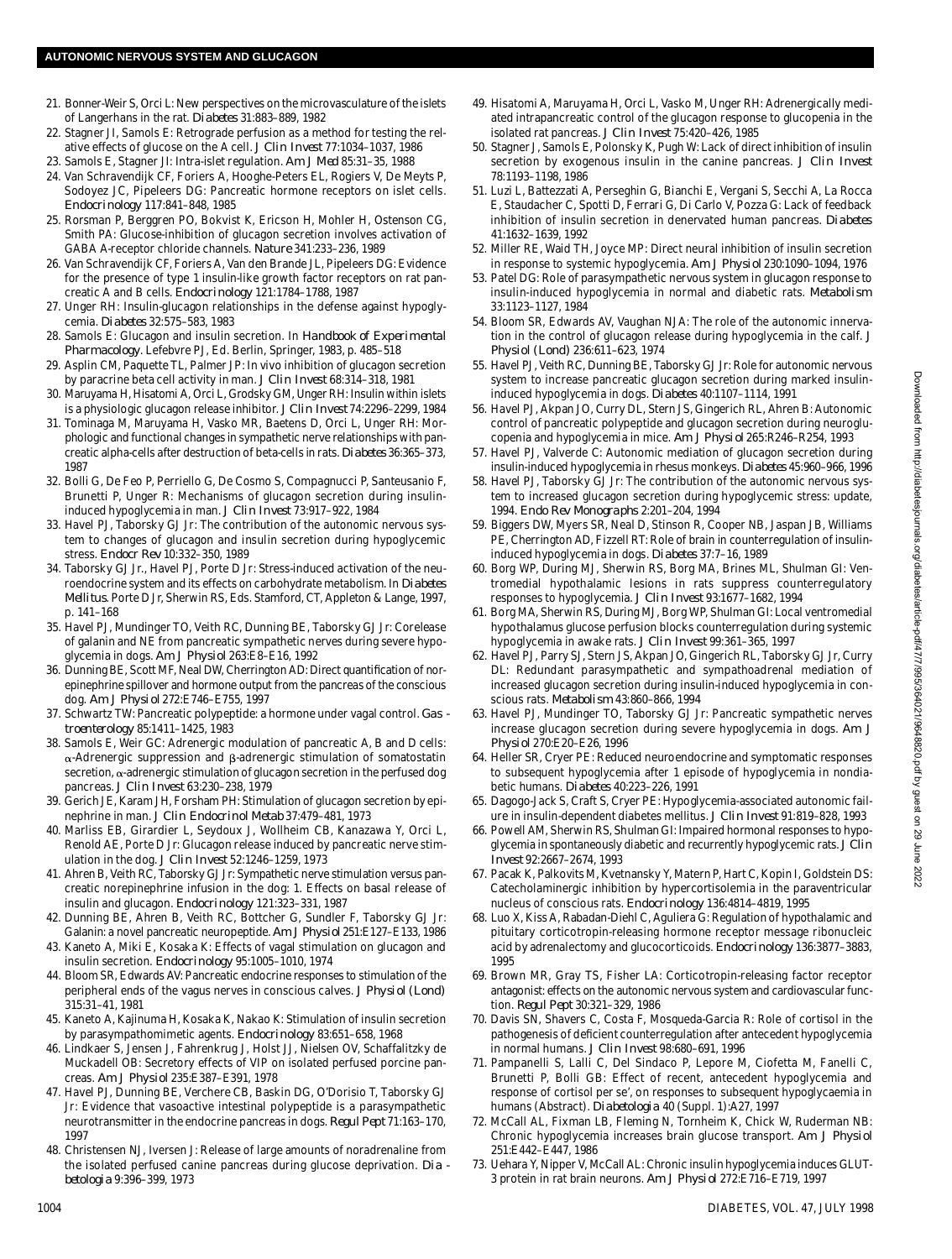- 21. Bonner-Weir S, Orci L: New perspectives on the microvasculature of the islets of Langerhans in the rat. *Diabetes* 31:883-889, 1982
- 22. Stagner JI, Samols E: Retrograde perfusion as a method for testing the relative effects of glucose on the A cell. *J Clin Invest* 77:1034–1037, 1986
- 2 3 . Samols E, Stagner JI: Intra-islet regulation. *Am J Med* 85:31–35, 1988
- 24. Van Schravendijk CF, Foriers A, Hooghe-Peters EL, Rogiers V, De Meyts P, Sodoyez JC, Pipeleers DG: Pancreatic hormone receptors on islet cells. *E n d o c r i n o l o g y* 117:841–848, 1985
- 25. Rorsman P, Berggren PO, Bokvist K, Ericson H, Mohler H, Ostenson CG, Smith PA: Glucose-inhibition of glucagon secretion involves activation of GABA A-receptor chloride channels. *Nature* 341:233-236, 1989
- 26. Van Schravendijk CF, Foriers A, Van den Brande JL, Pipeleers DG: Evidence for the presence of type 1 insulin-like growth factor receptors on rat pancreatic A and B cells. *Endocrinology* 121:1784-1788, 1987
- 27. Unger RH: Insulin-glucagon relationships in the defense against hypoglycemia. *Diabetes* 32:575-583, 1983
- 2 8 . Samols E: Glucagon and insulin secretion. In *Handbook of Experimental Pharmacology*. Lefebvre PJ, Ed. Berlin, Springer, 1983, p. 485-518
- 29. Asplin CM, Paquette TL, Palmer JP: In vivo inhibition of glucagon secretion by paracrine beta cell activity in man. *J Clin Invest* 68:314–318, 1981
- 3 0 . Maruyama H, Hisatomi A, Orci L, Grodsky GM, Unger RH: Insulin within islets is a physiologic glucagon release inhibitor. *J Clin Invest* 74:2296–2299, 1984
- 31. Tominaga M, Maruyama H, Vasko MR, Baetens D, Orci L, Unger RH: Morphologic and functional changes in sympathetic nerve relationships with pancreatic alpha-cells after destruction of beta-cells in rats. *Diabetes* 36:365-373, 1987
- 32. Bolli G, De Feo P, Perriello G, De Cosmo S, Compagnucci P, Santeusanio F, Brunetti P, Unger R: Mechanisms of glucagon secretion during insulininduced hypoglycemia in man. *J Clin Invest* 73:917–922, 1984
- 3 3 . Havel PJ, Taborsky GJ Jr: The contribution of the autonomic nervous system to changes of glucagon and insulin secretion during hypoglycemic stress. *Endocr Rev* 10:332–350, 1989
- 34. Taborsky GJ Jr., Havel PJ, Porte D Jr: Stress-induced activation of the neuroendocrine system and its effects on carbohydrate metabolism. In *Diabetes Mellitus*. Porte D Jr, Sherwin RS, Eds. Stamford, CT, Appleton & Lange, 1997, p. 141–168
- 35. Havel PJ, Mundinger TO, Veith RC, Dunning BE, Taborsky GJ Jr: Corelease of galanin and NE from pancreatic sympathetic nerves during severe hypoglycemia in dogs. *Am J Physiol* 263:E8–E16, 1992
- 36. Dunning BE, Scott MF, Neal DW, Cherrington AD: Direct quantification of norepinephrine spillover and hormone output from the pancreas of the conscious dog. *Am J Physiol* 272:E746–E755, 1997
- 37. Schwartz TW: Pancreatic polypeptide: a hormone under vagal control. *Gas t r o e n t e r o l o g y* 85:1411–1425, 1983
- 38. Samols E, Weir GC: Adrenergic modulation of pancreatic A, B and D cells:  $\alpha$ -Adrenergic suppression and  $\beta$ -adrenergic stimulation of somatostatin secretion,  $\alpha$ -adrenergic stimulation of glucagon secretion in the perfused dog pancreas. *J Clin Invest* 63:230–238, 1979
- 39. Gerich JE, Karam JH, Forsham PH: Stimulation of glucagon secretion by epinephrine in man. *J Clin Endocrinol Metab* 37:479–481, 1973
- 40. Marliss EB, Girardier L, Seydoux J, Wollheim CB, Kanazawa Y, Orci L, Renold AE, Porte D Jr: Glucagon release induced by pancreatic nerve stimulation in the dog. *J Clin Invest* 52:1246–1259, 1973
- 4 1 . Ahren B, Veith RC, Taborsky GJ Jr: Sympathetic nerve stimulation versus pancreatic norepinephrine infusion in the dog: 1. Effects on basal release of insulin and glucagon. *Endocrinology* 121:323-331, 1987
- 42. Dunning BE, Ahren B, Veith RC, Bottcher G, Sundler F, Taborsky GJ Jr: Galanin: a novel pancreatic neuropeptide. *Am J Physiol* 251:E127–E133, 1986
- 43. Kaneto A, Miki E, Kosaka K: Effects of vagal stimulation on glucagon and insulin secretion. *Endocrinology* 95:1005-1010, 1974
- 44. Bloom SR, Edwards AV: Pancreatic endocrine responses to stimulation of the peripheral ends of the vagus nerves in conscious calves. *J Physiol (Lond)* 315:31–41, 1981
- 45. Kaneto A, Kajinuma H, Kosaka K, Nakao K: Stimulation of insulin secretion by parasympathomimetic agents. *Endocrinology* 83:651-658, 1968
- 46. Lindkaer S, Jensen J, Fahrenkrug J, Holst JJ, Nielsen OV, Schaffalitzky de Muckadell OB: Secretory effects of VIP on isolated perfused porcine pancreas. *Am J Physiol* 235:E387–E391, 1978
- 4 7 . Havel PJ, Dunning BE, Verchere CB, Baskin DG, O'Dorisio T, Taborsky GJ Jr: Evidence that vasoactive intestinal polypeptide is a parasympathetic neurotransmitter in the endocrine pancreas in dogs. *Regul Pept* 71:163-170, 1997
- 48. Christensen NJ, Iversen J: Release of large amounts of noradrenaline from the isolated perfused canine pancreas during glucose deprivation. *Dia b e t o l o g i a* 9:396–399, 1973
- 4 9 . Hisatomi A, Maruyama H, Orci L, Vasko M, Unger RH: Adrenergically mediated intrapancreatic control of the glucagon response to glucopenia in the isolated rat pancreas. *J Clin Invest* 75:420–426, 1985
- 50. Stagner J, Samols E, Polonsky K, Pugh W: Lack of direct inhibition of insulin secretion by exogenous insulin in the canine pancreas. *J Clin Invest* 78:1193–1198, 1986
- 51. Luzi L, Battezzati A, Perseghin G, Bianchi E, Vergani S, Secchi A, La Rocca E, Staudacher C, Spotti D, Ferrari G, Di Carlo V, Pozza G: Lack of feedback inhibition of insulin secretion in denervated human pancreas. Diabetes 41:1632–1639, 1992
- 52. Miller RE, Waid TH, Joyce MP: Direct neural inhibition of insulin secretion in response to systemic hypoglycemia. *Am J Physiol* 230:1090–1094, 1976
- 5 3 . Patel DG: Role of parasympathetic nervous system in glucagon response to insulin-induced hypoglycemia in normal and diabetic rats. Metabolism 33:1123–1127, 1984
- 54. Bloom SR, Edwards AV, Vaughan NJA: The role of the autonomic innervation in the control of glucagon release during hypoglycemia in the calf. *J Physiol (Lond)* 236:611–623, 1974
- 55. Havel PJ, Veith RC, Dunning BE, Taborsky GJ Jr: Role for autonomic nervous system to increase pancreatic glucagon secretion during marked insulininduced hypoglycemia in dogs. *Diabetes* 40:1107-1114, 1991
- 56. Havel PJ, Akpan JO, Curry DL, Stern JS, Gingerich RL, Ahren B: Autonomic control of pancreatic polypeptide and glucagon secretion during neuroglucopenia and hypoglycemia in mice. *Am J Physiol* 265:R246–R254, 1993
- 57. Havel PJ, Valverde C: Autonomic mediation of glucagon secretion during insulin-induced hypoglycemia in rhesus monkeys. *Diabetes* 45:960-966, 1996
- 58. Havel PJ, Taborsky GJ Jr: The contribution of the autonomic nervous system to increased glucagon secretion during hypoglycemic stress: update, 1994. *Endo Rev Monographs* 2:201–204, 1994
- 59. Biggers DW, Myers SR, Neal D, Stinson R, Cooper NB, Jaspan JB, Williams PE, Cherrington AD, Fizzell RT: Role of brain in counterregulation of insulininduced hypoglycemia in dogs. *Diabetes* 37:7-16, 1989
- 60. Borg WP, During MJ, Sherwin RS, Borg MA, Brines ML, Shulman GI: Ventromedial hypothalamic lesions in rats suppress counterregulatory responses to hypoglycemia. *J Clin Invest* 93:1677–1682, 1994
- 61. Borg MA, Sherwin RS, During MJ, Borg WP, Shulman GI: Local ventromedial hypothalamus glucose perfusion blocks counterregulation during systemic hypoglycemia in awake rats. *J Clin Invest* 99:361–365, 1997
- 6 2 . Havel PJ, Parry SJ, Stern JS, Akpan JO, Gingerich RL, Taborsky GJ Jr, Curry DL: Redundant parasympathetic and sympathoadrenal mediation of increased glucagon secretion during insulin-induced hypoglycemia in conscious rats. *Metabolism* 43:860-866, 1994
- 63. Havel PJ, Mundinger TO, Taborsky GJ Jr: Pancreatic sympathetic nerves increase glucagon secretion during severe hypoglycemia in dogs. *Am J P h y s i o l* 270:E20–E26, 1996
- 64. Heller SR, Cryer PE: Reduced neuroendocrine and symptomatic responses to subsequent hypoglycemia after 1 episode of hypoglycemia in nondiabetic humans. *Di abetes* 40:223-226, 1991
- 65. Dagogo-Jack S, Craft S, Cryer PE: Hypoglycemia-associated autonomic failure in insulin-dependent diabetes mellitus. *J Clin Invest* 91:819–828, 1993
- 66. Powell AM, Sherwin RS, Shulman GI: Impaired hormonal responses to hypoglycemia in spontaneously diabetic and recurrently hypoglycemic rats. *J Clin I n v e s t* 92:2667–2674, 1993
- 67. Pacak K, Palkovits M, Kvetnansky Y, Matern P, Hart C, Kopin I, Goldstein DS: Catecholaminergic inhibition by hypercortisolemia in the paraventricular nucleus of conscious rats. *Endocrinology* 136:4814-4819, 1995
- 68. Luo X, Kiss A, Rabadan-Diehl C, Aguliera G: Regulation of hypothalamic and pituitary corticotropin-releasing hormone receptor message ribonucleic acid by adrenalectomy and glucocorticoids. *Endocrinology* 136:3877-3883, 1995
- 69. Brown MR, Gray TS, Fisher LA: Corticotropin-releasing factor receptor antagonist: effects on the autonomic nervous system and cardiovascular function. *Regul Pept* 30:321–329, 1986
- 70. Davis SN, Shavers C, Costa F, Mosqueda-Garcia R: Role of cortisol in the pathogenesis of deficient counterregulation after antecedent hypoglycemia in normal humans. *J Clin Invest* 98:680–691, 1996
- 7 1 . Pampanelli S, Lalli C, Del Sindaco P, Lepore M, Ciofetta M, Fanelli C, Brunetti P, Bolli GB: Effect of recent, antecedent hypoglycemia and response of cortisol per se', on responses to subsequent hypoglycaemia in humans (Abstract). *Diabetologia* 40 (Suppl. 1):A27, 1997
- 72. McCall AL, Fixman LB, Fleming N, Tornheim K, Chick W, Ruderman NB: Chronic hypoglycemia increases brain glucose transport. *Am J Physiol* 251:E442–E447, 1986
- Uehara Y, Nipper V, McCall AL: Chronic insulin hypoglycemia induces GLUT-3 protein in rat brain neurons. *Am J Physiol* 272:E716–E719, 1997